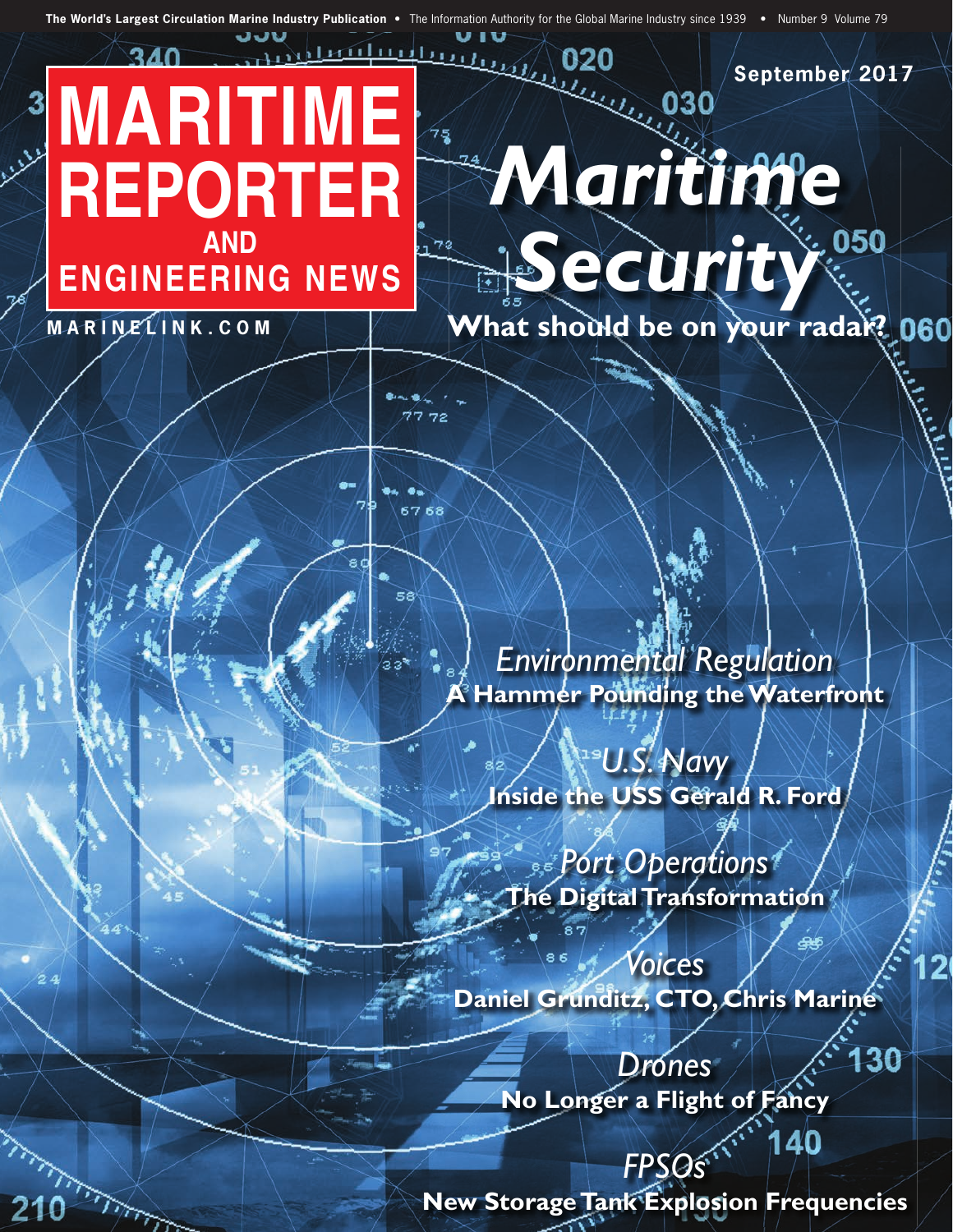**The World's Largest Circulation Marine Industry Publication •** The Information Authority for the Global Marine Industry since 1939 **•** Number 9 Volume 79

 $\sqrt{2}$ 

## <u>տնկատիր,</u> **MARITIME REPORTER AND ENGINEERING NEWS**

**M A R I N E L I N K . C O M**

لمنفسليلات

210

**September 2017**

What should be on your radar? 060

*Maritime*

*Security*

020

**CEO** 

*Environmental Regulation* **Hammer Pounding the Waterfront** 

*U.S. Navy* **Inside the USS Gerald R. Ford**

*Port Operations* **The Digital Transformation**

*Voices* **Daniel Grunditz, CTO, Chris Marine**

 $\overline{2}$ 

130

140

*Drones* **No Longer a Flight of Fancy**

*FPSOs* **New Storage Tank Explosion Frequencies**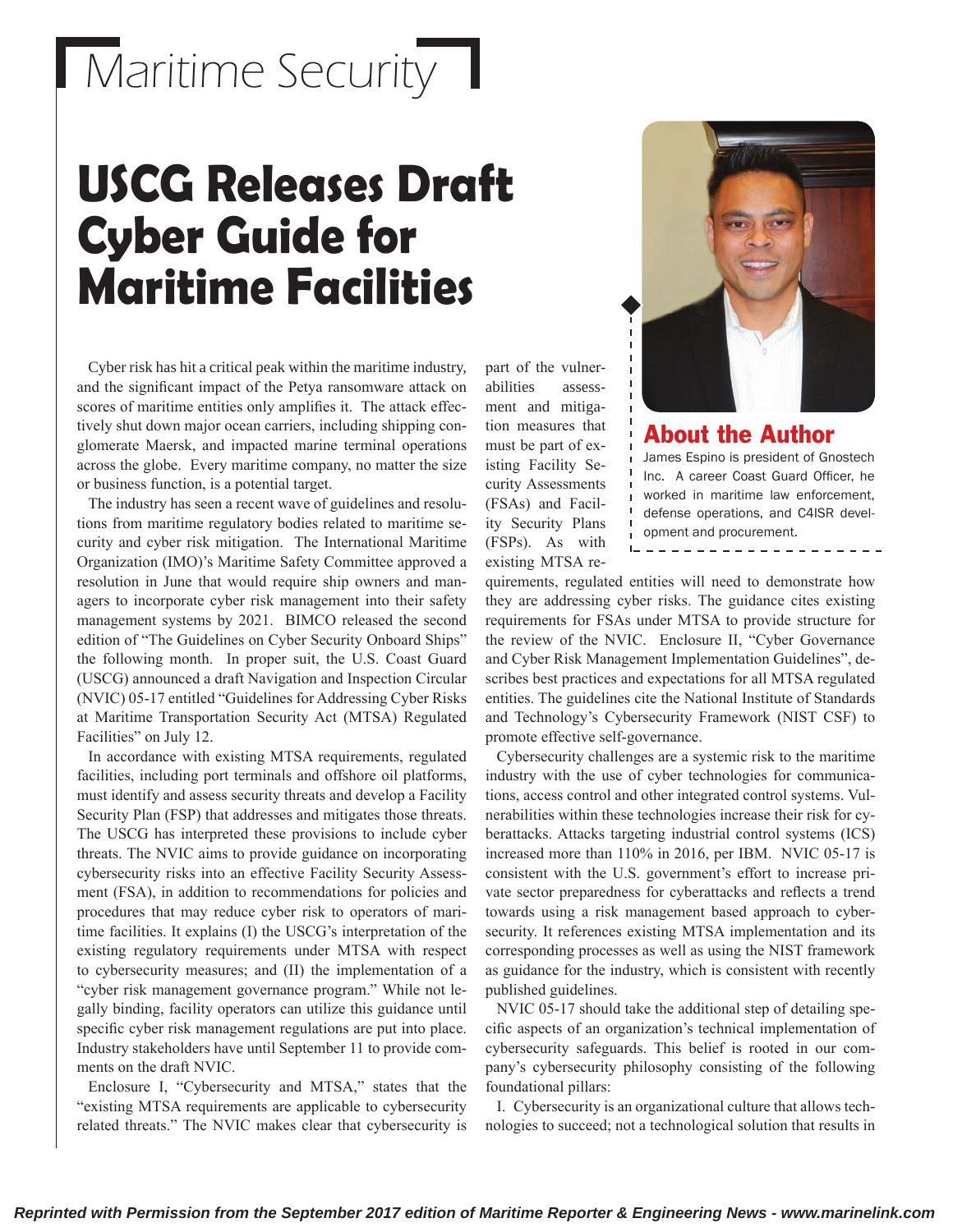## Maritime Security

## **USCG Releases Draft Cyber Guide for Maritime Facilities**



Cyber risk has hit a critical peak within the maritime industry, and the significant impact of the Petya ransomware attack on scores of maritime entities only amplifies it. The attack effectively shut down major ocean carriers, including shipping conglomerate Maersk, and impacted marine terminal operations across the globe. Every maritime company, no matter the size or business function, is a potential target.

The industry has seen a recent wave of guidelines and resolutions from maritime regulatory bodies related to maritime security and cyber risk mitigation. The International Maritime Organization (IMO)'s Maritime Safety Committee approved a resolution in June that would require ship owners and managers to incorporate cyber risk management into their safety management systems by 2021. BIMCO released the second edition of "The Guidelines on Cyber Security Onboard Ships" the following month. In proper suit, the U.S. Coast Guard (USCG) announced a draft Navigation and Inspection Circular (NVIC) 05-17 entitled "Guidelines for Addressing Cyber Risks at Maritime Transportation Security Act (MTSA) Regulated Facilities" on July 12.

In accordance with existing MTSA requirements, regulated facilities, including port terminals and offshore oil platforms, must identify and assess security threats and develop a Facility Security Plan (FSP) that addresses and mitigates those threats. The USCG has interpreted these provisions to include cyber threats. The NVIC aims to provide guidance on incorporating cybersecurity risks into an effective Facility Security Assessment (FSA), in addition to recommendations for policies and procedures that may reduce cyber risk to operators of maritime facilities. It explains (I) the USCG's interpretation of the existing regulatory requirements under MTSA with respect to cybersecurity measures; and (II) the implementation of a "cyber risk management governance program." While not legally binding, facility operators can utilize this guidance until specific cyber risk management regulations are put into place. Industry stakeholders have until September 11 to provide comments on the draft NVIC.

Enclosure I, "Cybersecurity and MTSA," states that the "existing MTSA requirements are applicable to cybersecurity related threats." The NVIC makes clear that cybersecurity is

abilities assessment and mitigation measures that must be part of existing Facility Security Assessments (FSAs) and Facility Security Plans (FSPs). As with existing MTSA re-

part of the vulner-



quirements, regulated entities will need to demonstrate how they are addressing cyber risks. The guidance cites existing requirements for FSAs under MTSA to provide structure for the review of the NVIC. Enclosure II, "Cyber Governance and Cyber Risk Management Implementation Guidelines", describes best practices and expectations for all MTSA regulated entities. The guidelines cite the National Institute of Standards and Technology's Cybersecurity Framework (NIST CSF) to promote effective self-governance.

Cybersecurity challenges are a systemic risk to the maritime industry with the use of cyber technologies for communications, access control and other integrated control systems. Vulnerabilities within these technologies increase their risk for cyberattacks. Attacks targeting industrial control systems (ICS) increased more than 110% in 2016, per IBM. NVIC 05-17 is consistent with the U.S. government's effort to increase private sector preparedness for cyberattacks and reflects a trend towards using a risk management based approach to cybersecurity. It references existing MTSA implementation and its corresponding processes as well as using the NIST framework as guidance for the industry, which is consistent with recently published guidelines.

NVIC 05-17 should take the additional step of detailing specific aspects of an organization's technical implementation of cybersecurity safeguards. This belief is rooted in our company's cybersecurity philosophy consisting of the following foundational pillars:

I. Cybersecurity is an organizational culture that allows technologies to succeed; not a technological solution that results in